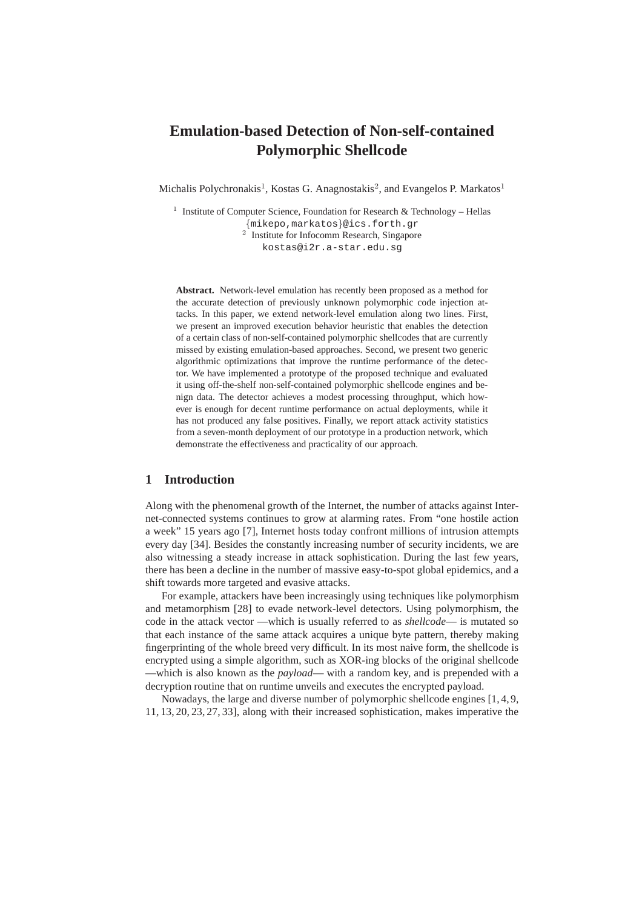# **Emulation-based Detection of Non-self-contained Polymorphic Shellcode**

Michalis Polychronakis<sup>1</sup>, Kostas G. Anagnostakis<sup>2</sup>, and Evangelos P. Markatos<sup>1</sup>

<sup>1</sup> Institute of Computer Science, Foundation for Research & Technology - Hellas {mikepo,markatos}@ics.forth.gr 2 Institute for Infocomm Research, Singapore kostas@i2r.a-star.edu.sg

**Abstract.** Network-level emulation has recently been proposed as a method for the accurate detection of previously unknown polymorphic code injection attacks. In this paper, we extend network-level emulation along two lines. First, we present an improved execution behavior heuristic that enables the detection of a certain class of non-self-contained polymorphic shellcodes that are currently missed by existing emulation-based approaches. Second, we present two generic algorithmic optimizations that improve the runtime performance of the detector. We have implemented a prototype of the proposed technique and evaluated it using off-the-shelf non-self-contained polymorphic shellcode engines and benign data. The detector achieves a modest processing throughput, which however is enough for decent runtime performance on actual deployments, while it has not produced any false positives. Finally, we report attack activity statistics from a seven-month deployment of our prototype in a production network, which demonstrate the effectiveness and practicality of our approach.

# **1 Introduction**

Along with the phenomenal growth of the Internet, the number of attacks against Internet-connected systems continues to grow at alarming rates. From "one hostile action a week" 15 years ago [7], Internet hosts today confront millions of intrusion attempts every day [34]. Besides the constantly increasing number of security incidents, we are also witnessing a steady increase in attack sophistication. During the last few years, there has been a decline in the number of massive easy-to-spot global epidemics, and a shift towards more targeted and evasive attacks.

For example, attackers have been increasingly using techniques like polymorphism and metamorphism [28] to evade network-level detectors. Using polymorphism, the code in the attack vector —which is usually referred to as *shellcode*— is mutated so that each instance of the same attack acquires a unique byte pattern, thereby making fingerprinting of the whole breed very difficult. In its most naive form, the shellcode is encrypted using a simple algorithm, such as XOR-ing blocks of the original shellcode —which is also known as the *payload*— with a random key, and is prepended with a decryption routine that on runtime unveils and executes the encrypted payload.

Nowadays, the large and diverse number of polymorphic shellcode engines [1, 4, 9, 11, 13, 20, 23, 27, 33], along with their increased sophistication, makes imperative the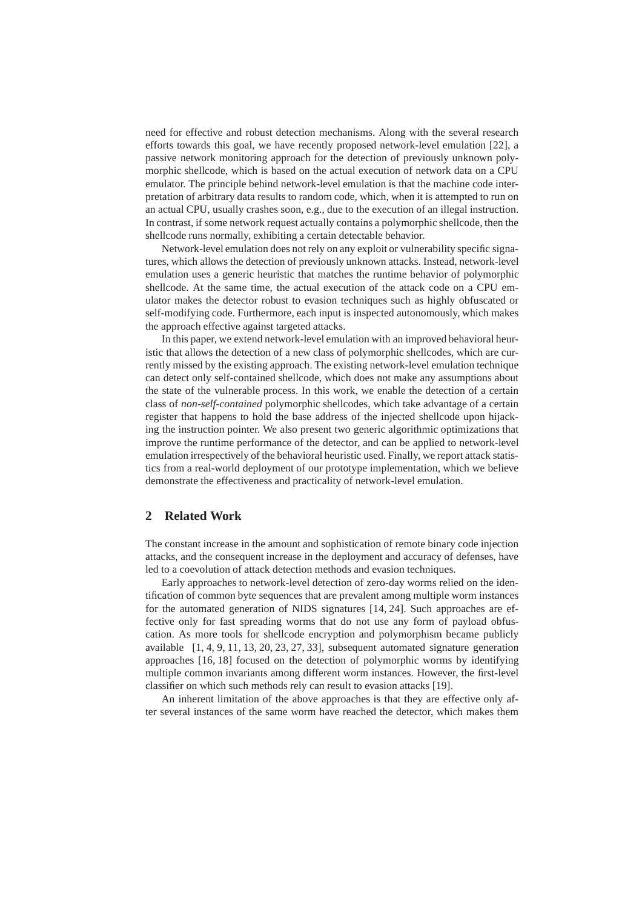need for effective and robust detection mechanisms. Along with the several research efforts towards this goal, we have recently proposed network-level emulation [22], a passive network monitoring approach for the detection of previously unknown polymorphic shellcode, which is based on the actual execution of network data on a CPU emulator. The principle behind network-level emulation is that the machine code interpretation of arbitrary data results to random code, which, when it is attempted to run on an actual CPU, usually crashes soon, e.g., due to the execution of an illegal instruction. In contrast, if some network request actually contains a polymorphic shellcode, then the shellcode runs normally, exhibiting a certain detectable behavior.

Network-level emulation does not rely on any exploit or vulnerability specific signatures, which allows the detection of previously unknown attacks. Instead, network-level emulation uses a generic heuristic that matches the runtime behavior of polymorphic shellcode. At the same time, the actual execution of the attack code on a CPU emulator makes the detector robust to evasion techniques such as highly obfuscated or self-modifying code. Furthermore, each input is inspected autonomously, which makes the approach effective against targeted attacks.

In this paper, we extend network-level emulation with an improved behavioral heuristic that allows the detection of a new class of polymorphic shellcodes, which are currently missed by the existing approach. The existing network-level emulation technique can detect only self-contained shellcode, which does not make any assumptions about the state of the vulnerable process. In this work, we enable the detection of a certain class of *non-self-contained* polymorphic shellcodes, which take advantage of a certain register that happens to hold the base address of the injected shellcode upon hijacking the instruction pointer. We also present two generic algorithmic optimizations that improve the runtime performance of the detector, and can be applied to network-level emulation irrespectively of the behavioral heuristic used. Finally, we report attack statistics from a real-world deployment of our prototype implementation, which we believe demonstrate the effectiveness and practicality of network-level emulation.

# **2 Related Work**

The constant increase in the amount and sophistication of remote binary code injection attacks, and the consequent increase in the deployment and accuracy of defenses, have led to a coevolution of attack detection methods and evasion techniques.

Early approaches to network-level detection of zero-day worms relied on the identification of common byte sequences that are prevalent among multiple worm instances for the automated generation of NIDS signatures [14, 24]. Such approaches are effective only for fast spreading worms that do not use any form of payload obfuscation. As more tools for shellcode encryption and polymorphism became publicly available  $[1, 4, 9, 11, 13, 20, 23, 27, 33]$ , subsequent automated signature generation approaches [16, 18] focused on the detection of polymorphic worms by identifying multiple common invariants among different worm instances. However, the first-level classifier on which such methods rely can result to evasion attacks [19].

An inherent limitation of the above approaches is that they are effective only after several instances of the same worm have reached the detector, which makes them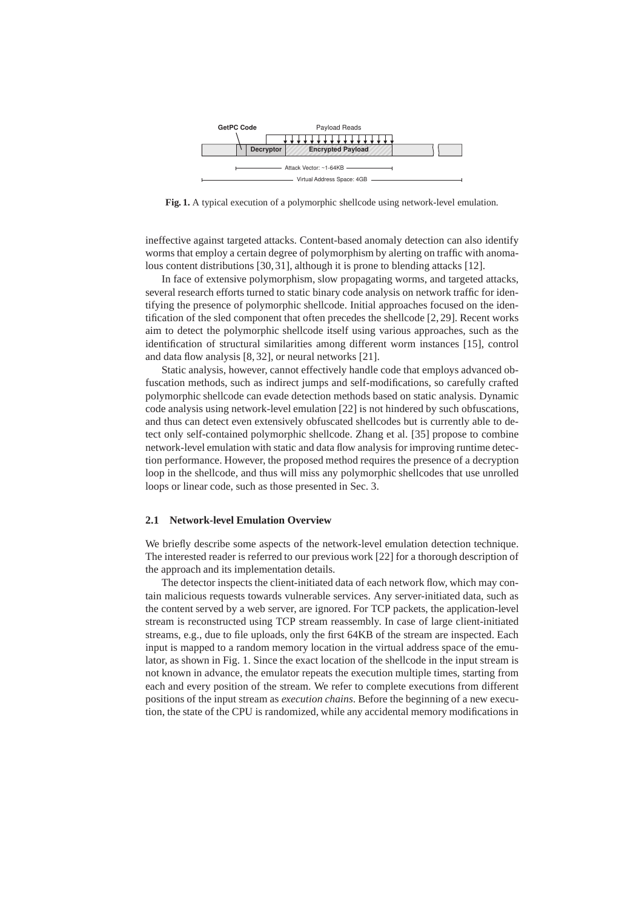

**Fig. 1.** A typical execution of a polymorphic shellcode using network-level emulation.

ineffective against targeted attacks. Content-based anomaly detection can also identify worms that employ a certain degree of polymorphism by alerting on traffic with anomalous content distributions [30, 31], although it is prone to blending attacks [12].

In face of extensive polymorphism, slow propagating worms, and targeted attacks, several research efforts turned to static binary code analysis on network traffic for identifying the presence of polymorphic shellcode. Initial approaches focused on the identification of the sled component that often precedes the shellcode [2, 29]. Recent works aim to detect the polymorphic shellcode itself using various approaches, such as the identification of structural similarities among different worm instances [15], control and data flow analysis [8, 32], or neural networks [21].

Static analysis, however, cannot effectively handle code that employs advanced obfuscation methods, such as indirect jumps and self-modifications, so carefully crafted polymorphic shellcode can evade detection methods based on static analysis. Dynamic code analysis using network-level emulation [22] is not hindered by such obfuscations, and thus can detect even extensively obfuscated shellcodes but is currently able to detect only self-contained polymorphic shellcode. Zhang et al. [35] propose to combine network-level emulation with static and data flow analysis for improving runtime detection performance. However, the proposed method requires the presence of a decryption loop in the shellcode, and thus will miss any polymorphic shellcodes that use unrolled loops or linear code, such as those presented in Sec. 3.

#### **2.1 Network-level Emulation Overview**

We briefly describe some aspects of the network-level emulation detection technique. The interested reader is referred to our previous work [22] for a thorough description of the approach and its implementation details.

The detector inspects the client-initiated data of each network flow, which may contain malicious requests towards vulnerable services. Any server-initiated data, such as the content served by a web server, are ignored. For TCP packets, the application-level stream is reconstructed using TCP stream reassembly. In case of large client-initiated streams, e.g., due to file uploads, only the first 64KB of the stream are inspected. Each input is mapped to a random memory location in the virtual address space of the emulator, as shown in Fig. 1. Since the exact location of the shellcode in the input stream is not known in advance, the emulator repeats the execution multiple times, starting from each and every position of the stream. We refer to complete executions from different positions of the input stream as *execution chains*. Before the beginning of a new execution, the state of the CPU is randomized, while any accidental memory modifications in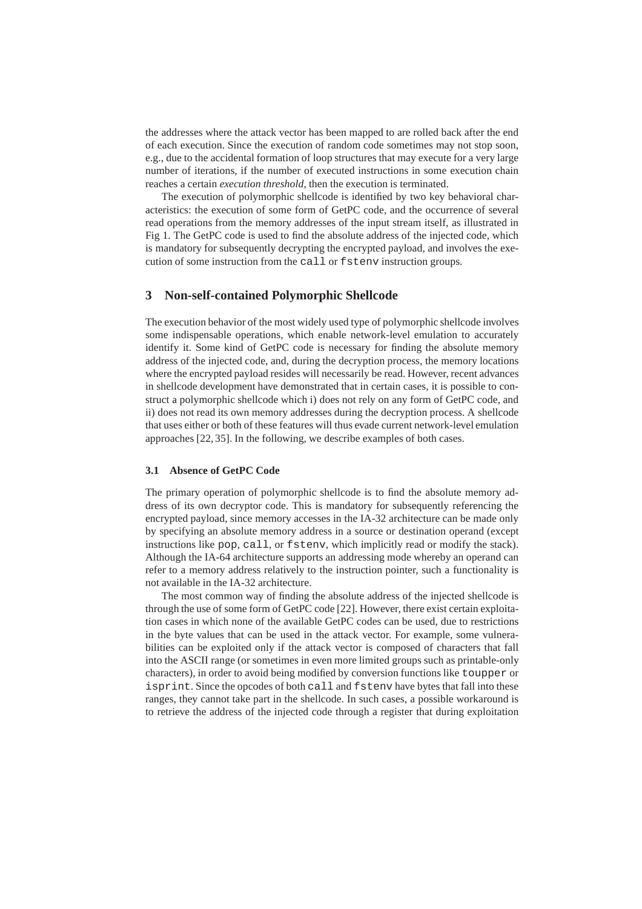the addresses where the attack vector has been mapped to are rolled back after the end of each execution. Since the execution of random code sometimes may not stop soon, e.g., due to the accidental formation of loop structures that may execute for a very large number of iterations, if the number of executed instructions in some execution chain reaches a certain *execution threshold*, then the execution is terminated.

The execution of polymorphic shellcode is identified by two key behavioral characteristics: the execution of some form of GetPC code, and the occurrence of several read operations from the memory addresses of the input stream itself, as illustrated in Fig 1. The GetPC code is used to find the absolute address of the injected code, which is mandatory for subsequently decrypting the encrypted payload, and involves the execution of some instruction from the call or fstenv instruction groups.

## **3 Non-self-contained Polymorphic Shellcode**

The execution behavior of the most widely used type of polymorphic shellcode involves some indispensable operations, which enable network-level emulation to accurately identify it. Some kind of GetPC code is necessary for finding the absolute memory address of the injected code, and, during the decryption process, the memory locations where the encrypted payload resides will necessarily be read. However, recent advances in shellcode development have demonstrated that in certain cases, it is possible to construct a polymorphic shellcode which i) does not rely on any form of GetPC code, and ii) does not read its own memory addresses during the decryption process. A shellcode that uses either or both of these features will thus evade current network-level emulation approaches [22, 35]. In the following, we describe examples of both cases.

## **3.1 Absence of GetPC Code**

The primary operation of polymorphic shellcode is to find the absolute memory address of its own decryptor code. This is mandatory for subsequently referencing the encrypted payload, since memory accesses in the IA-32 architecture can be made only by specifying an absolute memory address in a source or destination operand (except instructions like pop, call, or fstenv, which implicitly read or modify the stack). Although the IA-64 architecture supports an addressing mode whereby an operand can refer to a memory address relatively to the instruction pointer, such a functionality is not available in the IA-32 architecture.

The most common way of finding the absolute address of the injected shellcode is through the use of some form of GetPC code [22]. However, there exist certain exploitation cases in which none of the available GetPC codes can be used, due to restrictions in the byte values that can be used in the attack vector. For example, some vulnerabilities can be exploited only if the attack vector is composed of characters that fall into the ASCII range (or sometimes in even more limited groups such as printable-only characters), in order to avoid being modified by conversion functions like toupper or isprint. Since the opcodes of both call and fstenv have bytes that fall into these ranges, they cannot take part in the shellcode. In such cases, a possible workaround is to retrieve the address of the injected code through a register that during exploitation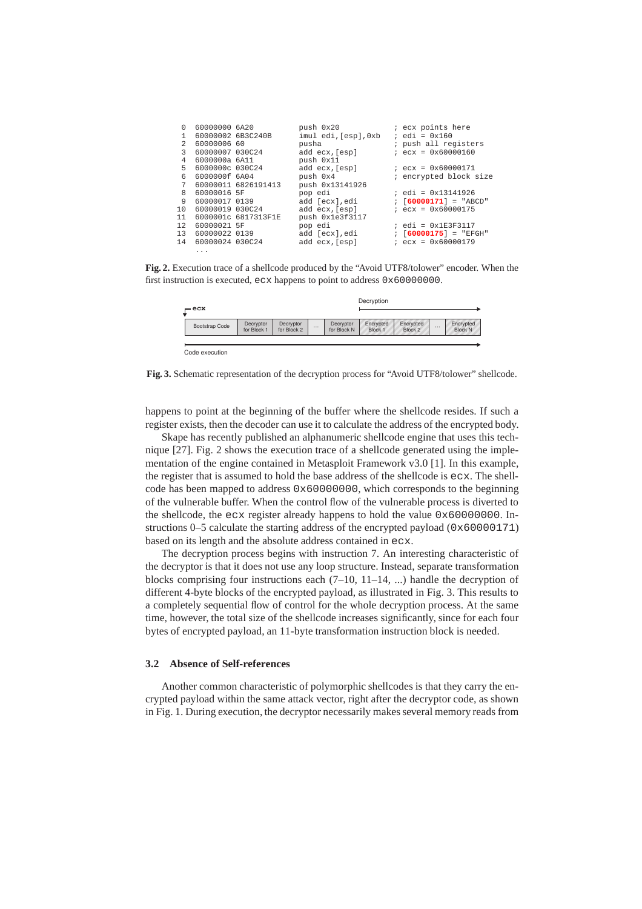| $\bigcap$      | 60000000 6A20   |                     | push 0x20            | ; ecx points here       |
|----------------|-----------------|---------------------|----------------------|-------------------------|
| $\mathbf{1}$   |                 | 60000002 6B3C240B   | imul edi, [esp], 0xb | $i$ edi = $0x160$       |
| $\mathfrak{D}$ | 60000006 60     |                     | pusha                | ; push all registers    |
| 3              | 60000007 030C24 |                     | add ecx, [esp]       | $i$ ecx = 0x60000160    |
| 4              | 6000000a 6A11   |                     | push 0x11            |                         |
| 5              | 6000000c 030C24 |                     | add ecx,[esp]        | $i$ ecx = 0x60000171    |
| 6              | 6000000f 6A04   |                     | push 0x4             | ; encrypted block size  |
| 7              |                 | 60000011 6826191413 | push 0x13141926      |                         |
| 8              | 60000016 5F     |                     | pop edi              | $;$ edi = 0x13141926    |
| $\mathsf{Q}$   | 60000017 0139   |                     | add [ecx],edi        | $: [60000171] = "ABCD"$ |
| 10             | 60000019 030C24 |                     | add ecx,[esp]        | $i$ ecx = 0x60000175    |
| 11             |                 | 6000001c 6817313F1E | push 0x1e3f3117      |                         |
| 12.            | 60000021 5F     |                     | pop edi              | $;$ edi = $0x1E3F3117$  |
| $13 -$         | 60000022 0139   |                     | add [ecx], edi       | $: 60000175 = "EFGH"$   |
| 14             | 60000024 030C24 |                     | add ecx, [esp]       | $i$ ecx = 0x60000179    |
|                | .               |                     |                      |                         |

**Fig. 2.** Execution trace of a shellcode produced by the "Avoid UTF8/tolower" encoder. When the first instruction is executed, ecx happens to point to address 0x60000000.

| $-$ ecx        |                          |                          | Decryption                   |                      |                      |          |                             |
|----------------|--------------------------|--------------------------|------------------------------|----------------------|----------------------|----------|-----------------------------|
| Bootstrap Code | Decryptor<br>for Block 1 | Decryptor<br>for Block 2 | <br>Decryptor<br>for Block N | Encrypted<br>Block 1 | Encrypted<br>Block 2 | $\cdots$ | Encrypted<br><b>Block N</b> |
| Code execution |                          |                          |                              |                      |                      |          |                             |

**Fig. 3.** Schematic representation of the decryption process for "Avoid UTF8/tolower" shellcode.

happens to point at the beginning of the buffer where the shellcode resides. If such a register exists, then the decoder can use it to calculate the address of the encrypted body.

Skape has recently published an alphanumeric shellcode engine that uses this technique [27]. Fig. 2 shows the execution trace of a shellcode generated using the implementation of the engine contained in Metasploit Framework v3.0 [1]. In this example, the register that is assumed to hold the base address of the shellcode is ecx. The shellcode has been mapped to address 0x60000000, which corresponds to the beginning of the vulnerable buffer. When the control flow of the vulnerable process is diverted to the shellcode, the ecx register already happens to hold the value  $0 \times 600000000$ . Instructions 0–5 calculate the starting address of the encrypted payload ( $0 \times 60000171$ ) based on its length and the absolute address contained in ecx.

The decryption process begins with instruction 7. An interesting characteristic of the decryptor is that it does not use any loop structure. Instead, separate transformation blocks comprising four instructions each (7–10, 11–14, ...) handle the decryption of different 4-byte blocks of the encrypted payload, as illustrated in Fig. 3. This results to a completely sequential flow of control for the whole decryption process. At the same time, however, the total size of the shellcode increases significantly, since for each four bytes of encrypted payload, an 11-byte transformation instruction block is needed.

#### **3.2 Absence of Self-references**

Another common characteristic of polymorphic shellcodes is that they carry the encrypted payload within the same attack vector, right after the decryptor code, as shown in Fig. 1. During execution, the decryptor necessarily makes several memory reads from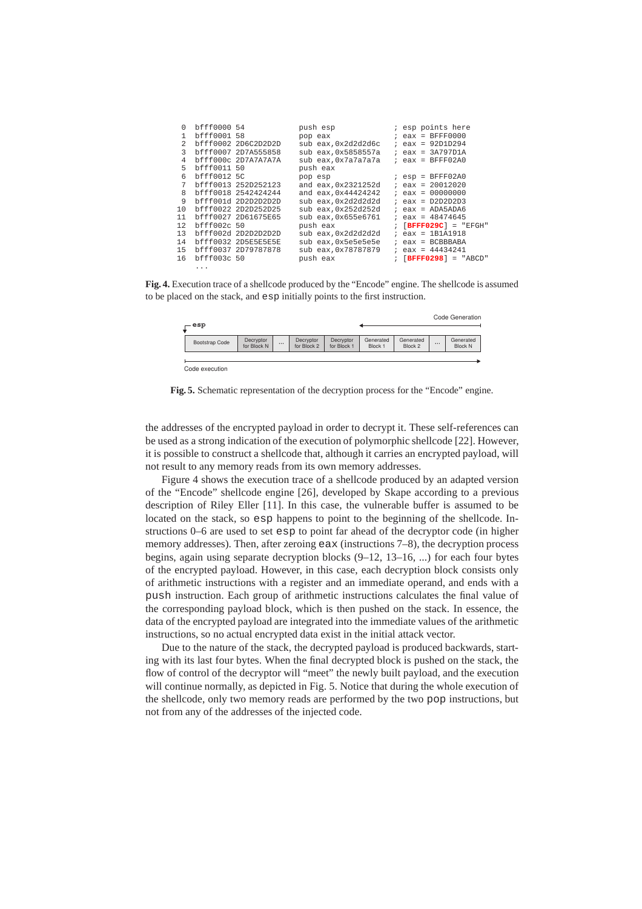| $\Omega$      | bfff0000 54 |                     | push esp            |               | ; esp points here                 |
|---------------|-------------|---------------------|---------------------|---------------|-----------------------------------|
| $\mathbf{1}$  | bfff0001 58 |                     | pop eax             |               | $i$ eax = BFFF0000                |
| $\mathcal{L}$ |             | bfff0002 2D6C2D2D2D | sub eax.0x2d2d2d6c  |               | $i$ eax = 92D1D294                |
| 3             |             | bfff0007 2D7A555858 | sub eax, 0x5858557a |               | $i$ eax = $3A797D1A$              |
| 4             |             | bfff000c 2D7A7A7A7A | sub eax, 0x7a7a7a7a |               | $i$ eax = BFFF02A0                |
| 5             | bfff0011 50 |                     | push eax            |               |                                   |
| 6             | bfff0012 5C |                     | pop esp             |               | $i$ esp = BFFF02A0                |
| 7             |             | bfff0013 252D252123 | and eax, 0x2321252d |               | $i$ eax = 20012020                |
| 8             |             | bfff0018 2542424244 | and eax, 0x44424242 |               | $i$ eax = 00000000                |
| 9             |             | hfff001d 2D2D2D2D2D | sub eax, 0x2d2d2d2d |               | $i$ eax = D2D2D2D3                |
| 10            |             | bfff0022 2D2D252D25 | sub eax, 0x252d252d |               | $i$ eax = $ADASADAG$              |
| 11            |             | bfff0027 2D61675E65 | sub eax, 0x655e6761 |               | 2.68474645                        |
| 12            | bfff002c.50 |                     | push eax            |               | $\frac{1}{2}$ [BFFF029C] = "EFGH" |
| 13            |             | bfff002d 2D2D2D2D2D | sub eax, 0x2d2d2d2d |               | $:$ eax = 1B1A1918                |
| 14            |             | bfff0032 2D5E5E5E5E | sub eax, 0x5e5e5e5e |               | $i$ eax = BCBBBABA                |
| $15 -$        |             | bfff0037 2D79787878 | sub eax, 0x78787879 |               | $: e$ ax = 44434241               |
| 16            | bfff003c 50 |                     | push eax            | $\mathcal{L}$ | $[BFFF0298] = "ABCD"$             |
|               | $\cdots$    |                     |                     |               |                                   |

**Fig. 4.** Execution trace of a shellcode produced by the "Encode" engine. The shellcode is assumed to be placed on the stack, and esp initially points to the first instruction.

| esp            |                          |          |                          |                          |                      |                      |          | <b>Code Generation</b>      |
|----------------|--------------------------|----------|--------------------------|--------------------------|----------------------|----------------------|----------|-----------------------------|
| Bootstrap Code | Decryptor<br>for Block N | $\cdots$ | Decryptor<br>for Block 2 | Decryptor<br>for Block 1 | Generated<br>Block 1 | Generated<br>Block 2 | $\cdots$ | Generated<br><b>Block N</b> |
| Code execution |                          |          |                          |                          |                      |                      |          |                             |

**Fig. 5.** Schematic representation of the decryption process for the "Encode" engine.

the addresses of the encrypted payload in order to decrypt it. These self-references can be used as a strong indication of the execution of polymorphic shellcode [22]. However, it is possible to construct a shellcode that, although it carries an encrypted payload, will not result to any memory reads from its own memory addresses.

Figure 4 shows the execution trace of a shellcode produced by an adapted version of the "Encode" shellcode engine [26], developed by Skape according to a previous description of Riley Eller [11]. In this case, the vulnerable buffer is assumed to be located on the stack, so esp happens to point to the beginning of the shellcode. Instructions 0–6 are used to set esp to point far ahead of the decryptor code (in higher memory addresses). Then, after zeroing eax (instructions 7–8), the decryption process begins, again using separate decryption blocks (9–12, 13–16, ...) for each four bytes of the encrypted payload. However, in this case, each decryption block consists only of arithmetic instructions with a register and an immediate operand, and ends with a push instruction. Each group of arithmetic instructions calculates the final value of the corresponding payload block, which is then pushed on the stack. In essence, the data of the encrypted payload are integrated into the immediate values of the arithmetic instructions, so no actual encrypted data exist in the initial attack vector.

Due to the nature of the stack, the decrypted payload is produced backwards, starting with its last four bytes. When the final decrypted block is pushed on the stack, the flow of control of the decryptor will "meet" the newly built payload, and the execution will continue normally, as depicted in Fig. 5. Notice that during the whole execution of the shellcode, only two memory reads are performed by the two pop instructions, but not from any of the addresses of the injected code.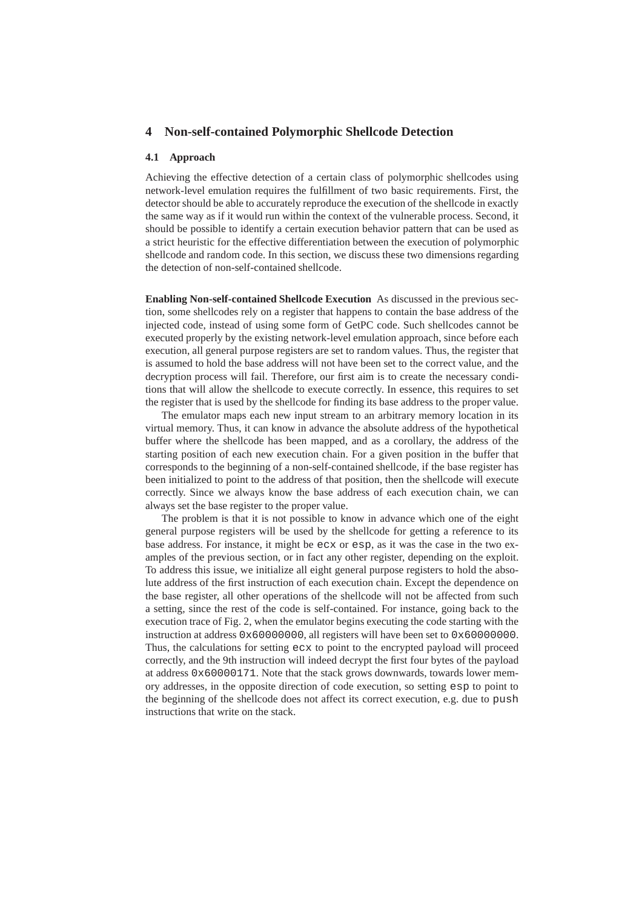## **4 Non-self-contained Polymorphic Shellcode Detection**

#### **4.1 Approach**

Achieving the effective detection of a certain class of polymorphic shellcodes using network-level emulation requires the fulfillment of two basic requirements. First, the detector should be able to accurately reproduce the execution of the shellcode in exactly the same way as if it would run within the context of the vulnerable process. Second, it should be possible to identify a certain execution behavior pattern that can be used as a strict heuristic for the effective differentiation between the execution of polymorphic shellcode and random code. In this section, we discuss these two dimensions regarding the detection of non-self-contained shellcode.

**Enabling Non-self-contained Shellcode Execution** As discussed in the previous section, some shellcodes rely on a register that happens to contain the base address of the injected code, instead of using some form of GetPC code. Such shellcodes cannot be executed properly by the existing network-level emulation approach, since before each execution, all general purpose registers are set to random values. Thus, the register that is assumed to hold the base address will not have been set to the correct value, and the decryption process will fail. Therefore, our first aim is to create the necessary conditions that will allow the shellcode to execute correctly. In essence, this requires to set the register that is used by the shellcode for finding its base address to the proper value.

The emulator maps each new input stream to an arbitrary memory location in its virtual memory. Thus, it can know in advance the absolute address of the hypothetical buffer where the shellcode has been mapped, and as a corollary, the address of the starting position of each new execution chain. For a given position in the buffer that corresponds to the beginning of a non-self-contained shellcode, if the base register has been initialized to point to the address of that position, then the shellcode will execute correctly. Since we always know the base address of each execution chain, we can always set the base register to the proper value.

The problem is that it is not possible to know in advance which one of the eight general purpose registers will be used by the shellcode for getting a reference to its base address. For instance, it might be ecx or esp, as it was the case in the two examples of the previous section, or in fact any other register, depending on the exploit. To address this issue, we initialize all eight general purpose registers to hold the absolute address of the first instruction of each execution chain. Except the dependence on the base register, all other operations of the shellcode will not be affected from such a setting, since the rest of the code is self-contained. For instance, going back to the execution trace of Fig. 2, when the emulator begins executing the code starting with the instruction at address  $0 \times 60000000$ , all registers will have been set to  $0 \times 600000000$ . Thus, the calculations for setting ecx to point to the encrypted payload will proceed correctly, and the 9th instruction will indeed decrypt the first four bytes of the payload at address 0x60000171. Note that the stack grows downwards, towards lower memory addresses, in the opposite direction of code execution, so setting esp to point to the beginning of the shellcode does not affect its correct execution, e.g. due to push instructions that write on the stack.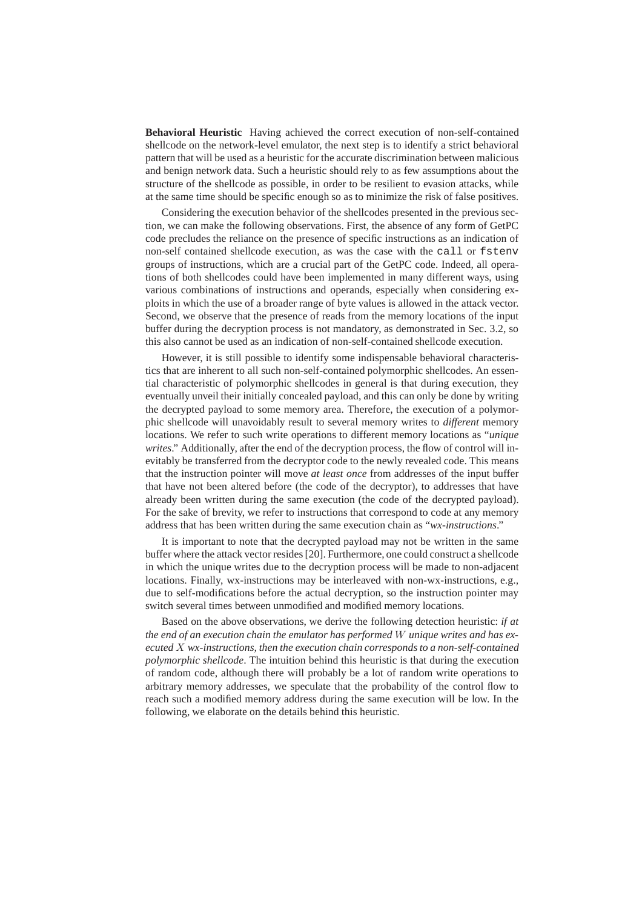**Behavioral Heuristic** Having achieved the correct execution of non-self-contained shellcode on the network-level emulator, the next step is to identify a strict behavioral pattern that will be used as a heuristic for the accurate discrimination between malicious and benign network data. Such a heuristic should rely to as few assumptions about the structure of the shellcode as possible, in order to be resilient to evasion attacks, while at the same time should be specific enough so as to minimize the risk of false positives.

Considering the execution behavior of the shellcodes presented in the previous section, we can make the following observations. First, the absence of any form of GetPC code precludes the reliance on the presence of specific instructions as an indication of non-self contained shellcode execution, as was the case with the call or fstenv groups of instructions, which are a crucial part of the GetPC code. Indeed, all operations of both shellcodes could have been implemented in many different ways, using various combinations of instructions and operands, especially when considering exploits in which the use of a broader range of byte values is allowed in the attack vector. Second, we observe that the presence of reads from the memory locations of the input buffer during the decryption process is not mandatory, as demonstrated in Sec. 3.2, so this also cannot be used as an indication of non-self-contained shellcode execution.

However, it is still possible to identify some indispensable behavioral characteristics that are inherent to all such non-self-contained polymorphic shellcodes. An essential characteristic of polymorphic shellcodes in general is that during execution, they eventually unveil their initially concealed payload, and this can only be done by writing the decrypted payload to some memory area. Therefore, the execution of a polymorphic shellcode will unavoidably result to several memory writes to *different* memory locations. We refer to such write operations to different memory locations as "*unique writes*." Additionally, after the end of the decryption process, the flow of control will inevitably be transferred from the decryptor code to the newly revealed code. This means that the instruction pointer will move *at least once* from addresses of the input buffer that have not been altered before (the code of the decryptor), to addresses that have already been written during the same execution (the code of the decrypted payload). For the sake of brevity, we refer to instructions that correspond to code at any memory address that has been written during the same execution chain as "*wx-instructions*."

It is important to note that the decrypted payload may not be written in the same buffer where the attack vector resides [20]. Furthermore, one could construct a shellcode in which the unique writes due to the decryption process will be made to non-adjacent locations. Finally, wx-instructions may be interleaved with non-wx-instructions, e.g., due to self-modifications before the actual decryption, so the instruction pointer may switch several times between unmodified and modified memory locations.

Based on the above observations, we derive the following detection heuristic: *if at the end of an execution chain the emulator has performed* W *unique writes and has executed* X *wx-instructions, then the execution chain corresponds to a non-self-contained polymorphic shellcode*. The intuition behind this heuristic is that during the execution of random code, although there will probably be a lot of random write operations to arbitrary memory addresses, we speculate that the probability of the control flow to reach such a modified memory address during the same execution will be low. In the following, we elaborate on the details behind this heuristic.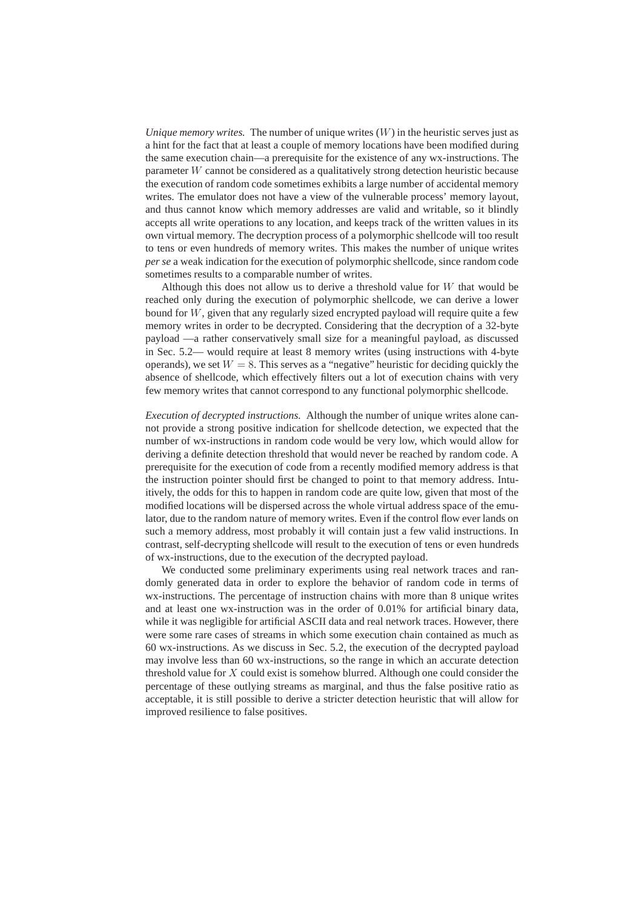*Unique memory writes.* The number of unique writes  $(W)$  in the heuristic serves just as a hint for the fact that at least a couple of memory locations have been modified during the same execution chain—a prerequisite for the existence of any wx-instructions. The parameter W cannot be considered as a qualitatively strong detection heuristic because the execution of random code sometimes exhibits a large number of accidental memory writes. The emulator does not have a view of the vulnerable process' memory layout, and thus cannot know which memory addresses are valid and writable, so it blindly accepts all write operations to any location, and keeps track of the written values in its own virtual memory. The decryption process of a polymorphic shellcode will too result to tens or even hundreds of memory writes. This makes the number of unique writes *per se* a weak indication for the execution of polymorphic shellcode, since random code sometimes results to a comparable number of writes.

Although this does not allow us to derive a threshold value for  $W$  that would be reached only during the execution of polymorphic shellcode, we can derive a lower bound for  $W$ , given that any regularly sized encrypted payload will require quite a few memory writes in order to be decrypted. Considering that the decryption of a 32-byte payload —a rather conservatively small size for a meaningful payload, as discussed in Sec. 5.2— would require at least 8 memory writes (using instructions with 4-byte operands), we set  $W = 8$ . This serves as a "negative" heuristic for deciding quickly the absence of shellcode, which effectively filters out a lot of execution chains with very few memory writes that cannot correspond to any functional polymorphic shellcode.

*Execution of decrypted instructions.* Although the number of unique writes alone cannot provide a strong positive indication for shellcode detection, we expected that the number of wx-instructions in random code would be very low, which would allow for deriving a definite detection threshold that would never be reached by random code. A prerequisite for the execution of code from a recently modified memory address is that the instruction pointer should first be changed to point to that memory address. Intuitively, the odds for this to happen in random code are quite low, given that most of the modified locations will be dispersed across the whole virtual address space of the emulator, due to the random nature of memory writes. Even if the control flow ever lands on such a memory address, most probably it will contain just a few valid instructions. In contrast, self-decrypting shellcode will result to the execution of tens or even hundreds of wx-instructions, due to the execution of the decrypted payload.

We conducted some preliminary experiments using real network traces and randomly generated data in order to explore the behavior of random code in terms of wx-instructions. The percentage of instruction chains with more than 8 unique writes and at least one wx-instruction was in the order of 0.01% for artificial binary data, while it was negligible for artificial ASCII data and real network traces. However, there were some rare cases of streams in which some execution chain contained as much as 60 wx-instructions. As we discuss in Sec. 5.2, the execution of the decrypted payload may involve less than 60 wx-instructions, so the range in which an accurate detection threshold value for X could exist is somehow blurred. Although one could consider the percentage of these outlying streams as marginal, and thus the false positive ratio as acceptable, it is still possible to derive a stricter detection heuristic that will allow for improved resilience to false positives.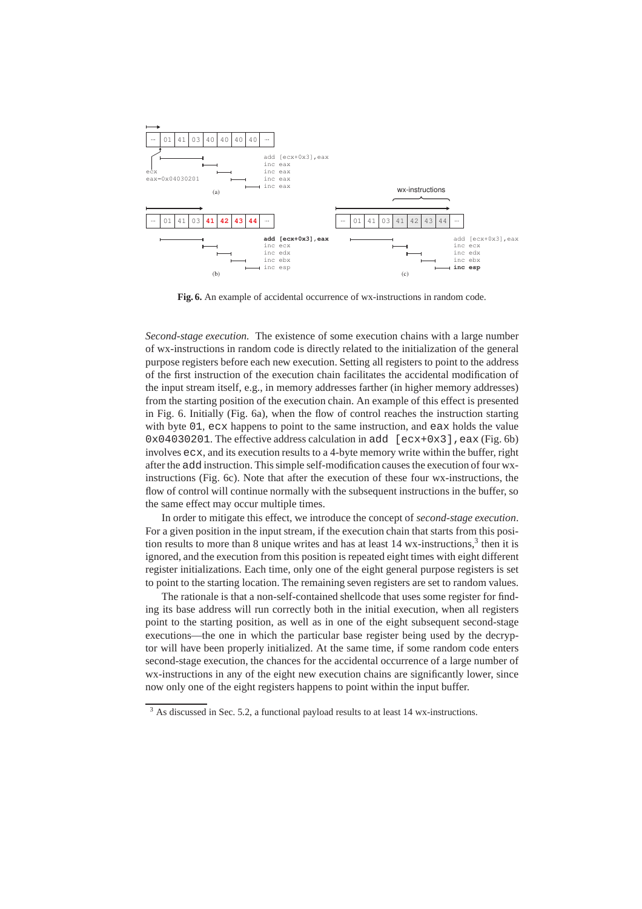

**Fig. 6.** An example of accidental occurrence of wx-instructions in random code.

*Second-stage execution.* The existence of some execution chains with a large number of wx-instructions in random code is directly related to the initialization of the general purpose registers before each new execution. Setting all registers to point to the address of the first instruction of the execution chain facilitates the accidental modification of the input stream itself, e.g., in memory addresses farther (in higher memory addresses) from the starting position of the execution chain. An example of this effect is presented in Fig. 6. Initially (Fig. 6a), when the flow of control reaches the instruction starting with byte 01, ecx happens to point to the same instruction, and eax holds the value  $0 \times 04030201$ . The effective address calculation in add [ecx+0x3], eax (Fig. 6b) involves ecx, and its execution results to a 4-byte memory write within the buffer, right after the add instruction. This simple self-modification causes the execution of four wxinstructions (Fig. 6c). Note that after the execution of these four wx-instructions, the flow of control will continue normally with the subsequent instructions in the buffer, so the same effect may occur multiple times.

In order to mitigate this effect, we introduce the concept of *second-stage execution*. For a given position in the input stream, if the execution chain that starts from this position results to more than 8 unique writes and has at least 14 wx-instructions,<sup>3</sup> then it is ignored, and the execution from this position is repeated eight times with eight different register initializations. Each time, only one of the eight general purpose registers is set to point to the starting location. The remaining seven registers are set to random values.

The rationale is that a non-self-contained shellcode that uses some register for finding its base address will run correctly both in the initial execution, when all registers point to the starting position, as well as in one of the eight subsequent second-stage executions—the one in which the particular base register being used by the decryptor will have been properly initialized. At the same time, if some random code enters second-stage execution, the chances for the accidental occurrence of a large number of wx-instructions in any of the eight new execution chains are significantly lower, since now only one of the eight registers happens to point within the input buffer.

 $3$  As discussed in Sec. 5.2, a functional payload results to at least 14 wx-instructions.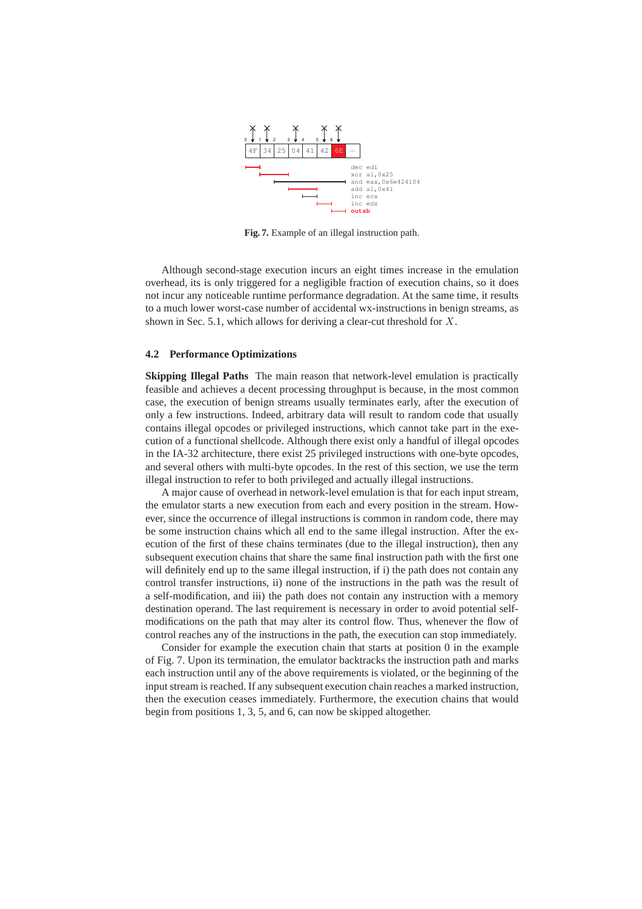

**Fig. 7.** Example of an illegal instruction path.

Although second-stage execution incurs an eight times increase in the emulation overhead, its is only triggered for a negligible fraction of execution chains, so it does not incur any noticeable runtime performance degradation. At the same time, it results to a much lower worst-case number of accidental wx-instructions in benign streams, as shown in Sec. 5.1, which allows for deriving a clear-cut threshold for X.

#### **4.2 Performance Optimizations**

**Skipping Illegal Paths** The main reason that network-level emulation is practically feasible and achieves a decent processing throughput is because, in the most common case, the execution of benign streams usually terminates early, after the execution of only a few instructions. Indeed, arbitrary data will result to random code that usually contains illegal opcodes or privileged instructions, which cannot take part in the execution of a functional shellcode. Although there exist only a handful of illegal opcodes in the IA-32 architecture, there exist 25 privileged instructions with one-byte opcodes, and several others with multi-byte opcodes. In the rest of this section, we use the term illegal instruction to refer to both privileged and actually illegal instructions.

A major cause of overhead in network-level emulation is that for each input stream, the emulator starts a new execution from each and every position in the stream. However, since the occurrence of illegal instructions is common in random code, there may be some instruction chains which all end to the same illegal instruction. After the execution of the first of these chains terminates (due to the illegal instruction), then any subsequent execution chains that share the same final instruction path with the first one will definitely end up to the same illegal instruction, if i) the path does not contain any control transfer instructions, ii) none of the instructions in the path was the result of a self-modification, and iii) the path does not contain any instruction with a memory destination operand. The last requirement is necessary in order to avoid potential selfmodifications on the path that may alter its control flow. Thus, whenever the flow of control reaches any of the instructions in the path, the execution can stop immediately.

Consider for example the execution chain that starts at position 0 in the example of Fig. 7. Upon its termination, the emulator backtracks the instruction path and marks each instruction until any of the above requirements is violated, or the beginning of the input stream is reached. If any subsequent execution chain reaches a marked instruction, then the execution ceases immediately. Furthermore, the execution chains that would begin from positions 1, 3, 5, and 6, can now be skipped altogether.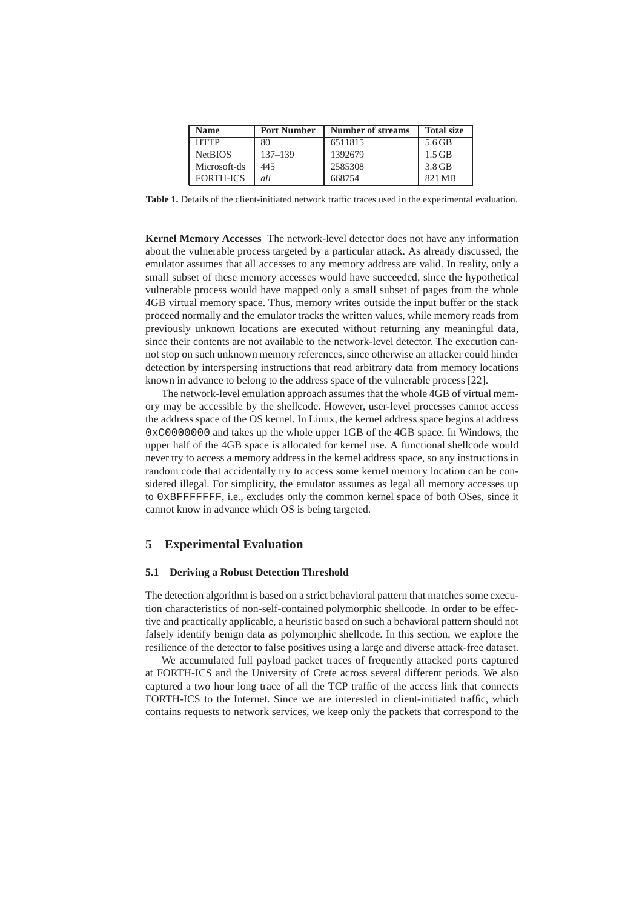| <b>Name</b>      | <b>Port Number</b> | <b>Number of streams</b> | <b>Total size</b> |
|------------------|--------------------|--------------------------|-------------------|
| <b>HTTP</b>      | 80                 | 6511815                  | 5.6 GB            |
| <b>NetBIOS</b>   | $137 - 139$        | 1392679                  | $1.5$ GB          |
| Microsoft-ds     | 445                | 2585308                  | $3.8$ GB          |
| <b>FORTH-ICS</b> | all                | 668754                   | 821 MB            |

**Table 1.** Details of the client-initiated network traffic traces used in the experimental evaluation.

**Kernel Memory Accesses** The network-level detector does not have any information about the vulnerable process targeted by a particular attack. As already discussed, the emulator assumes that all accesses to any memory address are valid. In reality, only a small subset of these memory accesses would have succeeded, since the hypothetical vulnerable process would have mapped only a small subset of pages from the whole 4GB virtual memory space. Thus, memory writes outside the input buffer or the stack proceed normally and the emulator tracks the written values, while memory reads from previously unknown locations are executed without returning any meaningful data, since their contents are not available to the network-level detector. The execution cannot stop on such unknown memory references, since otherwise an attacker could hinder detection by interspersing instructions that read arbitrary data from memory locations known in advance to belong to the address space of the vulnerable process [22].

The network-level emulation approach assumes that the whole 4GB of virtual memory may be accessible by the shellcode. However, user-level processes cannot access the address space of the OS kernel. In Linux, the kernel address space begins at address 0xC0000000 and takes up the whole upper 1GB of the 4GB space. In Windows, the upper half of the 4GB space is allocated for kernel use. A functional shellcode would never try to access a memory address in the kernel address space, so any instructions in random code that accidentally try to access some kernel memory location can be considered illegal. For simplicity, the emulator assumes as legal all memory accesses up to 0xBFFFFFFF, i.e., excludes only the common kernel space of both OSes, since it cannot know in advance which OS is being targeted.

## **5 Experimental Evaluation**

#### **5.1 Deriving a Robust Detection Threshold**

The detection algorithm is based on a strict behavioral pattern that matches some execution characteristics of non-self-contained polymorphic shellcode. In order to be effective and practically applicable, a heuristic based on such a behavioral pattern should not falsely identify benign data as polymorphic shellcode. In this section, we explore the resilience of the detector to false positives using a large and diverse attack-free dataset.

We accumulated full payload packet traces of frequently attacked ports captured at FORTH-ICS and the University of Crete across several different periods. We also captured a two hour long trace of all the TCP traffic of the access link that connects FORTH-ICS to the Internet. Since we are interested in client-initiated traffic, which contains requests to network services, we keep only the packets that correspond to the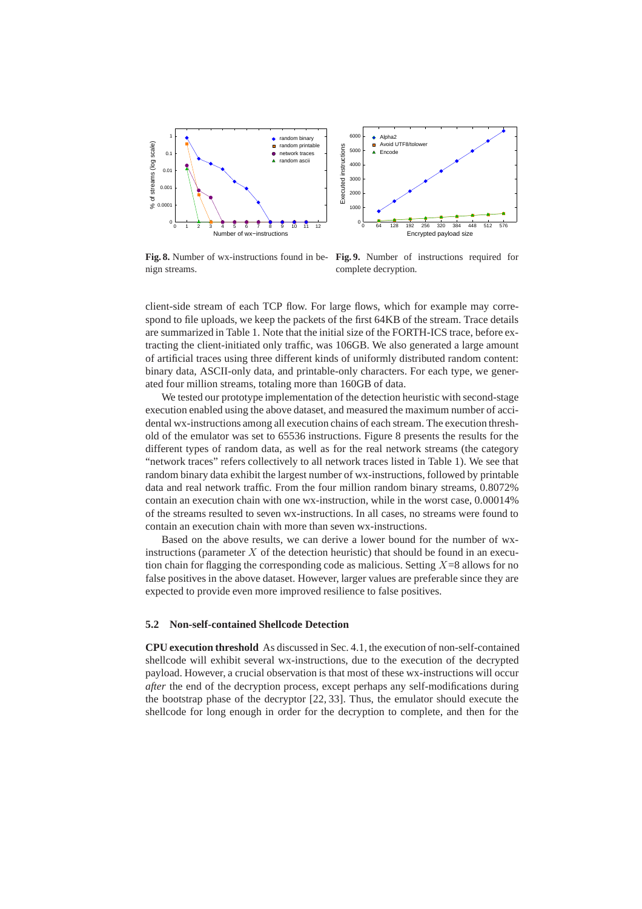

nign streams.

**Fig. 8.** Number of wx-instructions found in be-**Fig. 9.** Number of instructions required for complete decryption.

client-side stream of each TCP flow. For large flows, which for example may correspond to file uploads, we keep the packets of the first 64KB of the stream. Trace details are summarized in Table 1. Note that the initial size of the FORTH-ICS trace, before extracting the client-initiated only traffic, was 106GB. We also generated a large amount of artificial traces using three different kinds of uniformly distributed random content: binary data, ASCII-only data, and printable-only characters. For each type, we generated four million streams, totaling more than 160GB of data.

We tested our prototype implementation of the detection heuristic with second-stage execution enabled using the above dataset, and measured the maximum number of accidental wx-instructions among all execution chains of each stream. The execution threshold of the emulator was set to 65536 instructions. Figure 8 presents the results for the different types of random data, as well as for the real network streams (the category "network traces" refers collectively to all network traces listed in Table 1). We see that random binary data exhibit the largest number of wx-instructions, followed by printable data and real network traffic. From the four million random binary streams, 0.8072% contain an execution chain with one wx-instruction, while in the worst case, 0.00014% of the streams resulted to seven wx-instructions. In all cases, no streams were found to contain an execution chain with more than seven wx-instructions.

Based on the above results, we can derive a lower bound for the number of wxinstructions (parameter  $X$  of the detection heuristic) that should be found in an execution chain for flagging the corresponding code as malicious. Setting  $X=8$  allows for no false positives in the above dataset. However, larger values are preferable since they are expected to provide even more improved resilience to false positives.

## **5.2 Non-self-contained Shellcode Detection**

**CPU execution threshold** As discussed in Sec. 4.1, the execution of non-self-contained shellcode will exhibit several wx-instructions, due to the execution of the decrypted payload. However, a crucial observation is that most of these wx-instructions will occur *after* the end of the decryption process, except perhaps any self-modifications during the bootstrap phase of the decryptor [22, 33]. Thus, the emulator should execute the shellcode for long enough in order for the decryption to complete, and then for the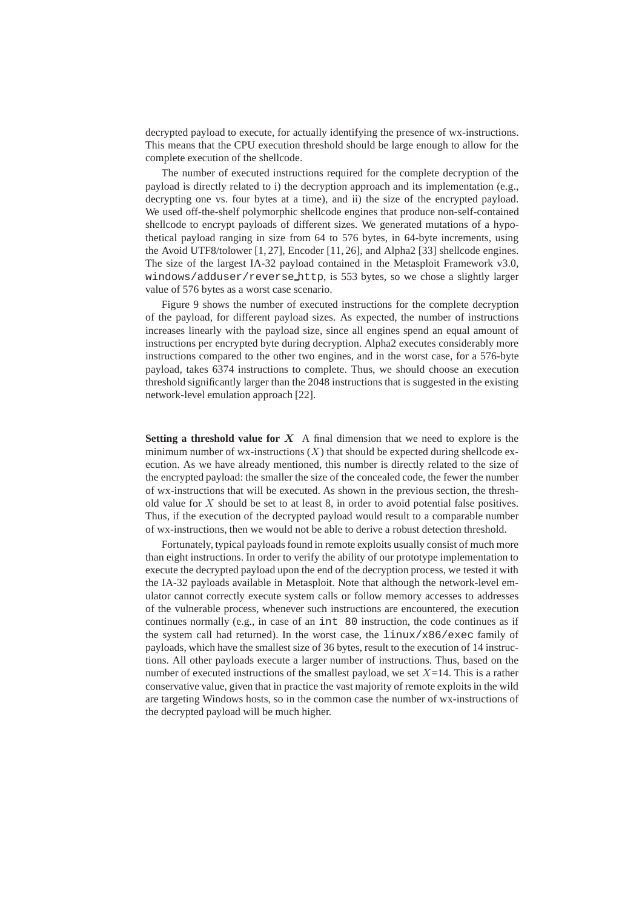decrypted payload to execute, for actually identifying the presence of wx-instructions. This means that the CPU execution threshold should be large enough to allow for the complete execution of the shellcode.

The number of executed instructions required for the complete decryption of the payload is directly related to i) the decryption approach and its implementation (e.g., decrypting one vs. four bytes at a time), and ii) the size of the encrypted payload. We used off-the-shelf polymorphic shellcode engines that produce non-self-contained shellcode to encrypt payloads of different sizes. We generated mutations of a hypothetical payload ranging in size from 64 to 576 bytes, in 64-byte increments, using the Avoid UTF8/tolower [1, 27], Encoder [11, 26], and Alpha2 [33] shellcode engines. The size of the largest IA-32 payload contained in the Metasploit Framework v3.0, windows/adduser/reverse http, is 553 bytes, so we chose a slightly larger value of 576 bytes as a worst case scenario.

Figure 9 shows the number of executed instructions for the complete decryption of the payload, for different payload sizes. As expected, the number of instructions increases linearly with the payload size, since all engines spend an equal amount of instructions per encrypted byte during decryption. Alpha2 executes considerably more instructions compared to the other two engines, and in the worst case, for a 576-byte payload, takes 6374 instructions to complete. Thus, we should choose an execution threshold significantly larger than the 2048 instructions that is suggested in the existing network-level emulation approach [22].

**Setting a threshold value for** X A final dimension that we need to explore is the minimum number of wx-instructions  $(X)$  that should be expected during shellcode execution. As we have already mentioned, this number is directly related to the size of the encrypted payload: the smaller the size of the concealed code, the fewer the number of wx-instructions that will be executed. As shown in the previous section, the threshold value for  $X$  should be set to at least 8, in order to avoid potential false positives. Thus, if the execution of the decrypted payload would result to a comparable number of wx-instructions, then we would not be able to derive a robust detection threshold.

Fortunately, typical payloads found in remote exploits usually consist of much more than eight instructions. In order to verify the ability of our prototype implementation to execute the decrypted payload upon the end of the decryption process, we tested it with the IA-32 payloads available in Metasploit. Note that although the network-level emulator cannot correctly execute system calls or follow memory accesses to addresses of the vulnerable process, whenever such instructions are encountered, the execution continues normally (e.g., in case of an int 80 instruction, the code continues as if the system call had returned). In the worst case, the  $\lim_{x \to a} x86$ /exec family of payloads, which have the smallest size of 36 bytes, result to the execution of 14 instructions. All other payloads execute a larger number of instructions. Thus, based on the number of executed instructions of the smallest payload, we set  $X=14$ . This is a rather conservative value, given that in practice the vast majority of remote exploits in the wild are targeting Windows hosts, so in the common case the number of wx-instructions of the decrypted payload will be much higher.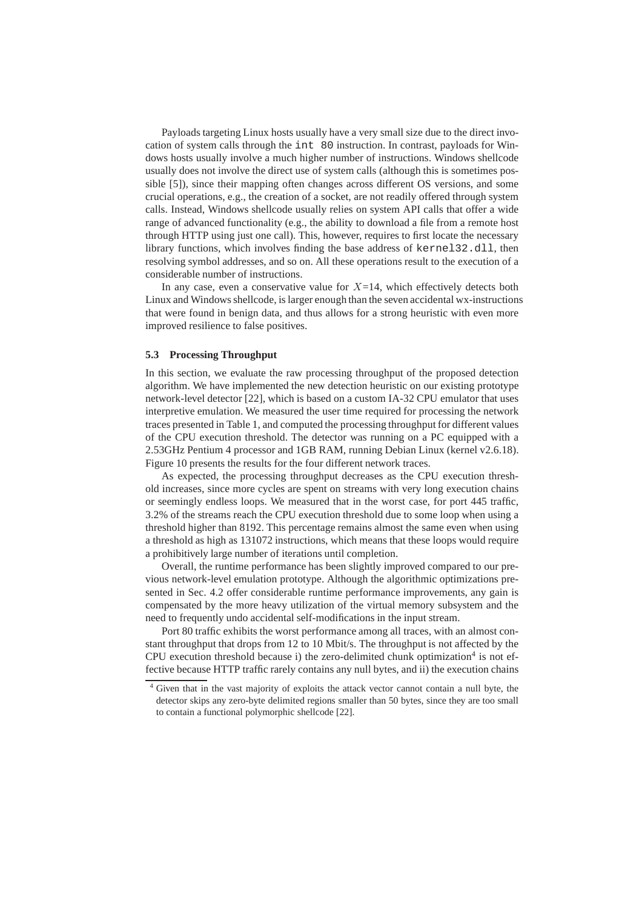Payloads targeting Linux hosts usually have a very small size due to the direct invocation of system calls through the int 80 instruction. In contrast, payloads for Windows hosts usually involve a much higher number of instructions. Windows shellcode usually does not involve the direct use of system calls (although this is sometimes possible [5]), since their mapping often changes across different OS versions, and some crucial operations, e.g., the creation of a socket, are not readily offered through system calls. Instead, Windows shellcode usually relies on system API calls that offer a wide range of advanced functionality (e.g., the ability to download a file from a remote host through HTTP using just one call). This, however, requires to first locate the necessary library functions, which involves finding the base address of kernel32.dll, then resolving symbol addresses, and so on. All these operations result to the execution of a considerable number of instructions.

In any case, even a conservative value for  $X=14$ , which effectively detects both Linux and Windows shellcode, is larger enough than the seven accidental wx-instructions that were found in benign data, and thus allows for a strong heuristic with even more improved resilience to false positives.

#### **5.3 Processing Throughput**

In this section, we evaluate the raw processing throughput of the proposed detection algorithm. We have implemented the new detection heuristic on our existing prototype network-level detector [22], which is based on a custom IA-32 CPU emulator that uses interpretive emulation. We measured the user time required for processing the network traces presented in Table 1, and computed the processing throughput for different values of the CPU execution threshold. The detector was running on a PC equipped with a 2.53GHz Pentium 4 processor and 1GB RAM, running Debian Linux (kernel v2.6.18). Figure 10 presents the results for the four different network traces.

As expected, the processing throughput decreases as the CPU execution threshold increases, since more cycles are spent on streams with very long execution chains or seemingly endless loops. We measured that in the worst case, for port 445 traffic, 3.2% of the streams reach the CPU execution threshold due to some loop when using a threshold higher than 8192. This percentage remains almost the same even when using a threshold as high as 131072 instructions, which means that these loops would require a prohibitively large number of iterations until completion.

Overall, the runtime performance has been slightly improved compared to our previous network-level emulation prototype. Although the algorithmic optimizations presented in Sec. 4.2 offer considerable runtime performance improvements, any gain is compensated by the more heavy utilization of the virtual memory subsystem and the need to frequently undo accidental self-modifications in the input stream.

Port 80 traffic exhibits the worst performance among all traces, with an almost constant throughput that drops from 12 to 10 Mbit/s. The throughput is not affected by the CPU execution threshold because i) the zero-delimited chunk optimization<sup>4</sup> is not effective because HTTP traffic rarely contains any null bytes, and ii) the execution chains

<sup>4</sup> Given that in the vast majority of exploits the attack vector cannot contain a null byte, the detector skips any zero-byte delimited regions smaller than 50 bytes, since they are too small to contain a functional polymorphic shellcode [22].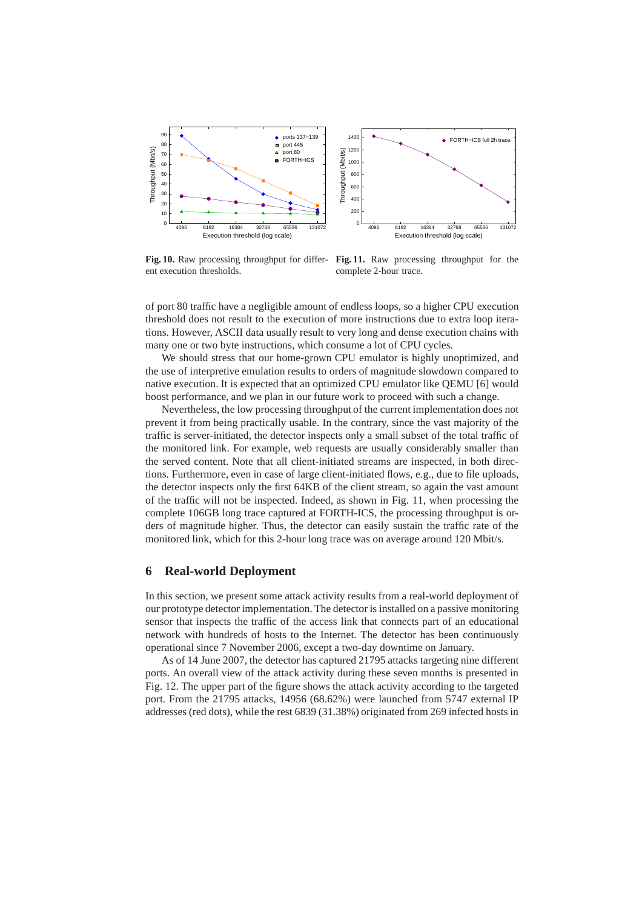

ent execution thresholds.

**Fig. 10.** Raw processing throughput for differ-**Fig. 11.** Raw processing throughput for the complete 2-hour trace.

of port 80 traffic have a negligible amount of endless loops, so a higher CPU execution threshold does not result to the execution of more instructions due to extra loop iterations. However, ASCII data usually result to very long and dense execution chains with many one or two byte instructions, which consume a lot of CPU cycles.

We should stress that our home-grown CPU emulator is highly unoptimized, and the use of interpretive emulation results to orders of magnitude slowdown compared to native execution. It is expected that an optimized CPU emulator like QEMU [6] would boost performance, and we plan in our future work to proceed with such a change.

Nevertheless, the low processing throughput of the current implementation does not prevent it from being practically usable. In the contrary, since the vast majority of the traffic is server-initiated, the detector inspects only a small subset of the total traffic of the monitored link. For example, web requests are usually considerably smaller than the served content. Note that all client-initiated streams are inspected, in both directions. Furthermore, even in case of large client-initiated flows, e.g., due to file uploads, the detector inspects only the first 64KB of the client stream, so again the vast amount of the traffic will not be inspected. Indeed, as shown in Fig. 11, when processing the complete 106GB long trace captured at FORTH-ICS, the processing throughput is orders of magnitude higher. Thus, the detector can easily sustain the traffic rate of the monitored link, which for this 2-hour long trace was on average around 120 Mbit/s.

## **6 Real-world Deployment**

In this section, we present some attack activity results from a real-world deployment of our prototype detector implementation. The detector is installed on a passive monitoring sensor that inspects the traffic of the access link that connects part of an educational network with hundreds of hosts to the Internet. The detector has been continuously operational since 7 November 2006, except a two-day downtime on January.

As of 14 June 2007, the detector has captured 21795 attacks targeting nine different ports. An overall view of the attack activity during these seven months is presented in Fig. 12. The upper part of the figure shows the attack activity according to the targeted port. From the 21795 attacks, 14956 (68.62%) were launched from 5747 external IP addresses (red dots), while the rest 6839 (31.38%) originated from 269 infected hosts in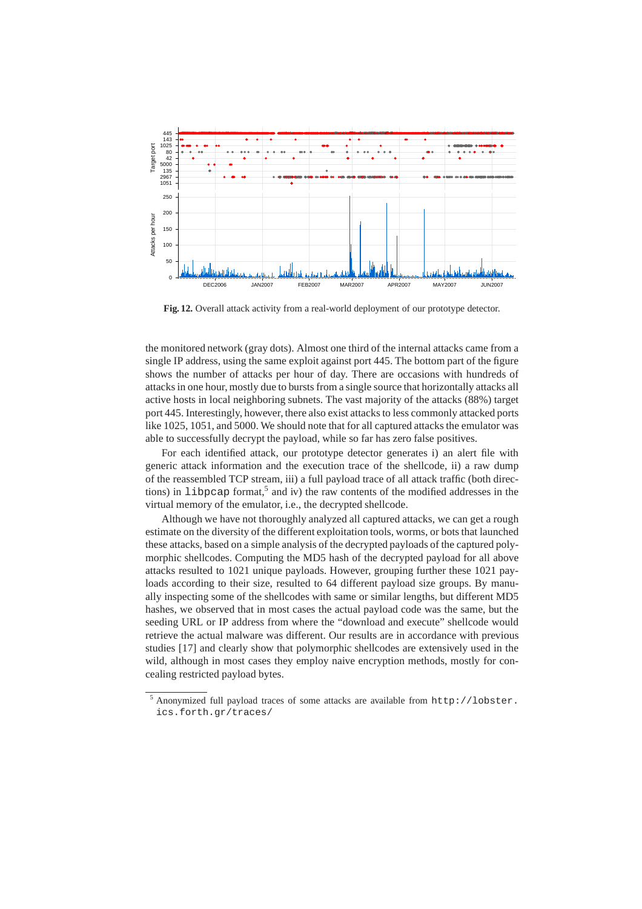

**Fig. 12.** Overall attack activity from a real-world deployment of our prototype detector.

the monitored network (gray dots). Almost one third of the internal attacks came from a single IP address, using the same exploit against port 445. The bottom part of the figure shows the number of attacks per hour of day. There are occasions with hundreds of attacks in one hour, mostly due to bursts from a single source that horizontally attacks all active hosts in local neighboring subnets. The vast majority of the attacks (88%) target port 445. Interestingly, however, there also exist attacks to less commonly attacked ports like 1025, 1051, and 5000. We should note that for all captured attacks the emulator was able to successfully decrypt the payload, while so far has zero false positives.

For each identified attack, our prototype detector generates i) an alert file with generic attack information and the execution trace of the shellcode, ii) a raw dump of the reassembled TCP stream, iii) a full payload trace of all attack traffic (both directions) in  $l$  ibpcap format,<sup>5</sup> and iv) the raw contents of the modified addresses in the virtual memory of the emulator, i.e., the decrypted shellcode.

Although we have not thoroughly analyzed all captured attacks, we can get a rough estimate on the diversity of the different exploitation tools, worms, or bots that launched these attacks, based on a simple analysis of the decrypted payloads of the captured polymorphic shellcodes. Computing the MD5 hash of the decrypted payload for all above attacks resulted to 1021 unique payloads. However, grouping further these 1021 payloads according to their size, resulted to 64 different payload size groups. By manually inspecting some of the shellcodes with same or similar lengths, but different MD5 hashes, we observed that in most cases the actual payload code was the same, but the seeding URL or IP address from where the "download and execute" shellcode would retrieve the actual malware was different. Our results are in accordance with previous studies [17] and clearly show that polymorphic shellcodes are extensively used in the wild, although in most cases they employ naive encryption methods, mostly for concealing restricted payload bytes.

<sup>5</sup> Anonymized full payload traces of some attacks are available from http://lobster. ics.forth.gr/traces/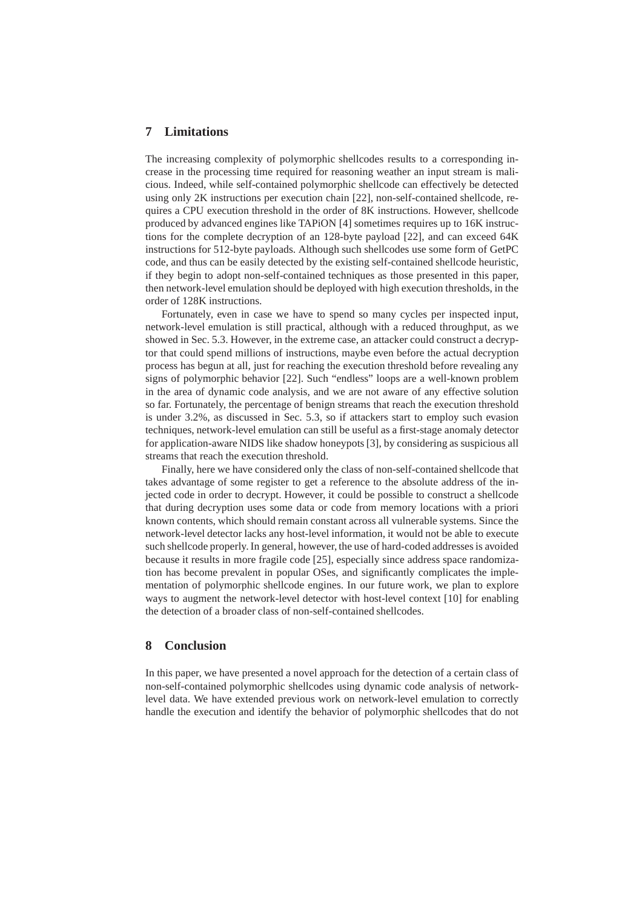# **7 Limitations**

The increasing complexity of polymorphic shellcodes results to a corresponding increase in the processing time required for reasoning weather an input stream is malicious. Indeed, while self-contained polymorphic shellcode can effectively be detected using only 2K instructions per execution chain [22], non-self-contained shellcode, requires a CPU execution threshold in the order of 8K instructions. However, shellcode produced by advanced engines like TAPiON [4] sometimes requires up to 16K instructions for the complete decryption of an 128-byte payload [22], and can exceed 64K instructions for 512-byte payloads. Although such shellcodes use some form of GetPC code, and thus can be easily detected by the existing self-contained shellcode heuristic, if they begin to adopt non-self-contained techniques as those presented in this paper, then network-level emulation should be deployed with high execution thresholds, in the order of 128K instructions.

Fortunately, even in case we have to spend so many cycles per inspected input, network-level emulation is still practical, although with a reduced throughput, as we showed in Sec. 5.3. However, in the extreme case, an attacker could construct a decryptor that could spend millions of instructions, maybe even before the actual decryption process has begun at all, just for reaching the execution threshold before revealing any signs of polymorphic behavior [22]. Such "endless" loops are a well-known problem in the area of dynamic code analysis, and we are not aware of any effective solution so far. Fortunately, the percentage of benign streams that reach the execution threshold is under 3.2%, as discussed in Sec. 5.3, so if attackers start to employ such evasion techniques, network-level emulation can still be useful as a first-stage anomaly detector for application-aware NIDS like shadow honeypots [3], by considering as suspicious all streams that reach the execution threshold.

Finally, here we have considered only the class of non-self-contained shellcode that takes advantage of some register to get a reference to the absolute address of the injected code in order to decrypt. However, it could be possible to construct a shellcode that during decryption uses some data or code from memory locations with a priori known contents, which should remain constant across all vulnerable systems. Since the network-level detector lacks any host-level information, it would not be able to execute such shellcode properly. In general, however, the use of hard-coded addresses is avoided because it results in more fragile code [25], especially since address space randomization has become prevalent in popular OSes, and significantly complicates the implementation of polymorphic shellcode engines. In our future work, we plan to explore ways to augment the network-level detector with host-level context [10] for enabling the detection of a broader class of non-self-contained shellcodes.

# **8 Conclusion**

In this paper, we have presented a novel approach for the detection of a certain class of non-self-contained polymorphic shellcodes using dynamic code analysis of networklevel data. We have extended previous work on network-level emulation to correctly handle the execution and identify the behavior of polymorphic shellcodes that do not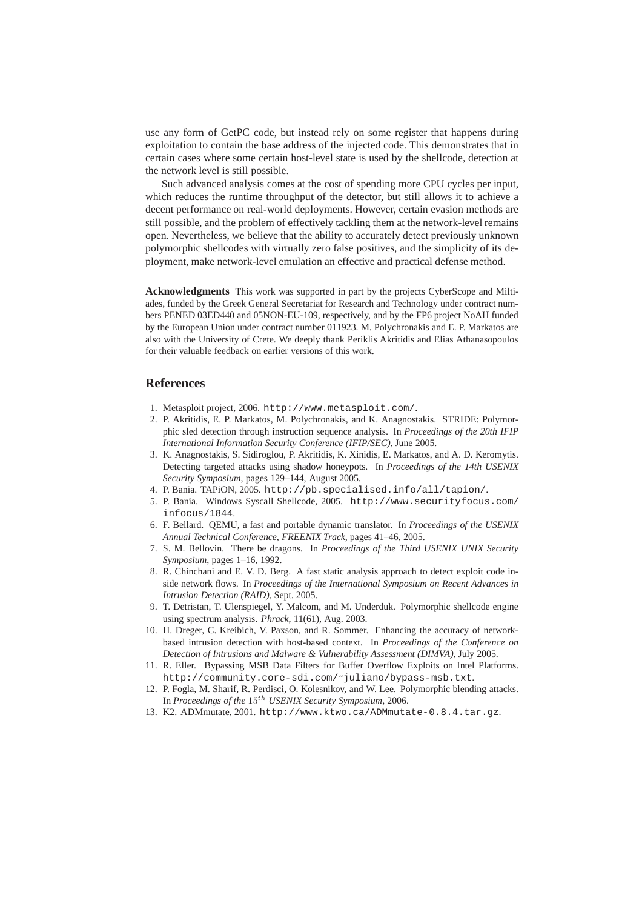use any form of GetPC code, but instead rely on some register that happens during exploitation to contain the base address of the injected code. This demonstrates that in certain cases where some certain host-level state is used by the shellcode, detection at the network level is still possible.

Such advanced analysis comes at the cost of spending more CPU cycles per input, which reduces the runtime throughput of the detector, but still allows it to achieve a decent performance on real-world deployments. However, certain evasion methods are still possible, and the problem of effectively tackling them at the network-level remains open. Nevertheless, we believe that the ability to accurately detect previously unknown polymorphic shellcodes with virtually zero false positives, and the simplicity of its deployment, make network-level emulation an effective and practical defense method.

**Acknowledgments** This work was supported in part by the projects CyberScope and Miltiades, funded by the Greek General Secretariat for Research and Technology under contract numbers PENED 03ED440 and 05NON-EU-109, respectively, and by the FP6 project NoAH funded by the European Union under contract number 011923. M. Polychronakis and E. P. Markatos are also with the University of Crete. We deeply thank Periklis Akritidis and Elias Athanasopoulos for their valuable feedback on earlier versions of this work.

# **References**

- 1. Metasploit project, 2006. http://www.metasploit.com/.
- 2. P. Akritidis, E. P. Markatos, M. Polychronakis, and K. Anagnostakis. STRIDE: Polymorphic sled detection through instruction sequence analysis. In *Proceedings of the 20th IFIP International Information Security Conference (IFIP/SEC)*, June 2005.
- 3. K. Anagnostakis, S. Sidiroglou, P. Akritidis, K. Xinidis, E. Markatos, and A. D. Keromytis. Detecting targeted attacks using shadow honeypots. In *Proceedings of the 14th USENIX Security Symposium*, pages 129–144, August 2005.
- 4. P. Bania. TAPiON, 2005. http://pb.specialised.info/all/tapion/.
- 5. P. Bania. Windows Syscall Shellcode, 2005. http://www.securityfocus.com/ infocus/1844.
- 6. F. Bellard. QEMU, a fast and portable dynamic translator. In *Proceedings of the USENIX Annual Technical Conference, FREENIX Track*, pages 41–46, 2005.
- 7. S. M. Bellovin. There be dragons. In *Proceedings of the Third USENIX UNIX Security Symposium*, pages 1–16, 1992.
- 8. R. Chinchani and E. V. D. Berg. A fast static analysis approach to detect exploit code inside network flows. In *Proceedings of the International Symposium on Recent Advances in Intrusion Detection (RAID)*, Sept. 2005.
- 9. T. Detristan, T. Ulenspiegel, Y. Malcom, and M. Underduk. Polymorphic shellcode engine using spectrum analysis. *Phrack*, 11(61), Aug. 2003.
- 10. H. Dreger, C. Kreibich, V. Paxson, and R. Sommer. Enhancing the accuracy of networkbased intrusion detection with host-based context. In *Proceedings of the Conference on Detection of Intrusions and Malware & Vulnerability Assessment (DIMVA)*, July 2005.
- 11. R. Eller. Bypassing MSB Data Filters for Buffer Overflow Exploits on Intel Platforms. http://community.core-sdi.com/˜juliano/bypass-msb.txt.
- 12. P. Fogla, M. Sharif, R. Perdisci, O. Kolesnikov, and W. Lee. Polymorphic blending attacks. In *Proceedings of the*  $15^{th}$  *USENIX Security Symposium*, 2006.
- 13. K2. ADMmutate, 2001. http://www.ktwo.ca/ADMmutate-0.8.4.tar.gz.